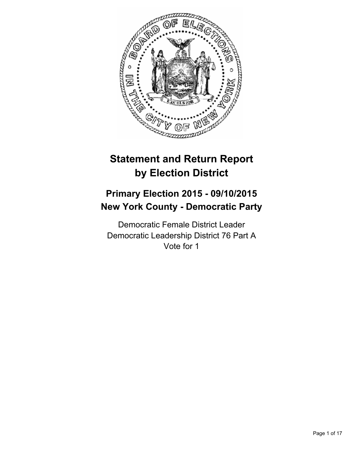

# **Statement and Return Report by Election District**

# **Primary Election 2015 - 09/10/2015 New York County - Democratic Party**

Democratic Female District Leader Democratic Leadership District 76 Part A Vote for 1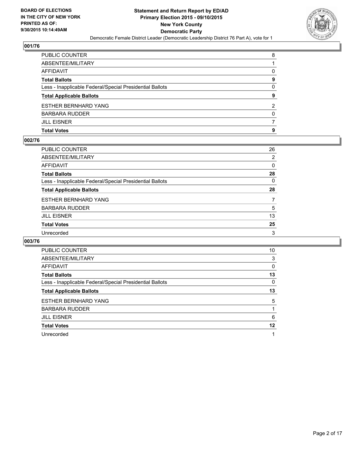

| PUBLIC COUNTER                                           | 8              |
|----------------------------------------------------------|----------------|
| ABSENTEE/MILITARY                                        |                |
| AFFIDAVIT                                                | 0              |
| Total Ballots                                            | 9              |
| Less - Inapplicable Federal/Special Presidential Ballots | 0              |
| <b>Total Applicable Ballots</b>                          | 9              |
| ESTHER BERNHARD YANG                                     | $\overline{2}$ |
| BARBARA RUDDER                                           | $\Omega$       |
| JILL EISNER                                              |                |
| Total Votes                                              | 9              |
|                                                          |                |

## **002/76**

| PUBLIC COUNTER                                           | 26             |
|----------------------------------------------------------|----------------|
| ABSENTEE/MILITARY                                        | 2              |
| AFFIDAVIT                                                | 0              |
| Total Ballots                                            | 28             |
| Less - Inapplicable Federal/Special Presidential Ballots | 0              |
| <b>Total Applicable Ballots</b>                          | 28             |
| ESTHER BERNHARD YANG                                     | $\overline{7}$ |
| BARBARA RUDDER                                           | 5              |
| JILL EISNER                                              | 13             |
| <b>Total Votes</b>                                       | 25             |
| Unrecorded                                               | 3              |
|                                                          |                |

| <b>PUBLIC COUNTER</b>                                    | 10 |
|----------------------------------------------------------|----|
| ABSENTEE/MILITARY                                        | 3  |
| AFFIDAVIT                                                | 0  |
| <b>Total Ballots</b>                                     | 13 |
| Less - Inapplicable Federal/Special Presidential Ballots | 0  |
| <b>Total Applicable Ballots</b>                          | 13 |
| <b>ESTHER BERNHARD YANG</b>                              | 5  |
| BARBARA RUDDER                                           |    |
| <b>JILL EISNER</b>                                       | 6  |
| <b>Total Votes</b>                                       | 12 |
| Unrecorded                                               |    |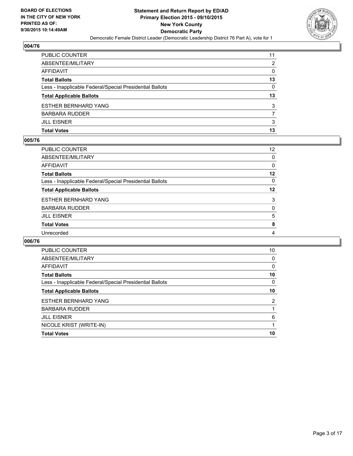

| PUBLIC COUNTER                                           | 11 |
|----------------------------------------------------------|----|
| ABSENTEE/MILITARY                                        | 2  |
| AFFIDAVIT                                                | 0  |
| Total Ballots                                            | 13 |
| Less - Inapplicable Federal/Special Presidential Ballots | 0  |
| <b>Total Applicable Ballots</b>                          | 13 |
| ESTHER BERNHARD YANG                                     | 3  |
| BARBARA RUDDER                                           |    |
| JILL EISNER                                              | 3  |
| Total Votes                                              | 13 |

## **005/76**

| PUBLIC COUNTER                                           | 12 <sup>2</sup> |
|----------------------------------------------------------|-----------------|
| ABSENTEE/MILITARY                                        | 0               |
| AFFIDAVIT                                                | 0               |
| Total Ballots                                            | $12 \,$         |
| Less - Inapplicable Federal/Special Presidential Ballots | 0               |
| <b>Total Applicable Ballots</b>                          | 12              |
| ESTHER BERNHARD YANG                                     | 3               |
| BARBARA RUDDER                                           | 0               |
| JILL EISNER                                              | 5               |
| <b>Total Votes</b>                                       | 8               |
| Unrecorded                                               | 4               |
|                                                          |                 |

| <b>PUBLIC COUNTER</b>                                    | 10 |
|----------------------------------------------------------|----|
| ABSENTEE/MILITARY                                        | 0  |
| <b>AFFIDAVIT</b>                                         | 0  |
| <b>Total Ballots</b>                                     | 10 |
| Less - Inapplicable Federal/Special Presidential Ballots | 0  |
| <b>Total Applicable Ballots</b>                          | 10 |
| <b>ESTHER BERNHARD YANG</b>                              | 2  |
| <b>BARBARA RUDDER</b>                                    |    |
| <b>JILL EISNER</b>                                       | 6  |
| NICOLE KRIST (WRITE-IN)                                  |    |
| <b>Total Votes</b>                                       | 10 |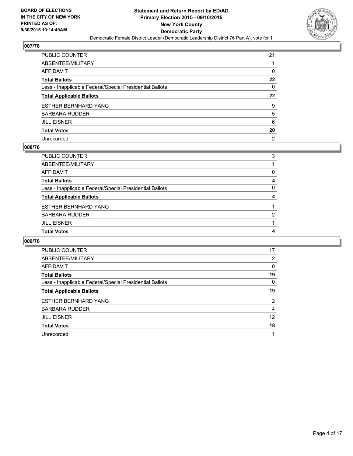

| PUBLIC COUNTER                                           | 21             |
|----------------------------------------------------------|----------------|
| ABSENTEE/MILITARY                                        |                |
| AFFIDAVIT                                                | 0              |
| Total Ballots                                            | 22             |
| Less - Inapplicable Federal/Special Presidential Ballots | 0              |
| <b>Total Applicable Ballots</b>                          | $22\,$         |
| ESTHER BERNHARD YANG                                     | 9              |
| BARBARA RUDDER                                           | 5              |
| JILL EISNER                                              | 6              |
| <b>Total Votes</b>                                       | 20             |
| Unrecorded                                               | $\overline{2}$ |

## **008/76**

| PUBLIC COUNTER                                           | 3 |
|----------------------------------------------------------|---|
| ABSENTEE/MILITARY                                        |   |
| <b>AFFIDAVIT</b>                                         | 0 |
| <b>Total Ballots</b>                                     | 4 |
| Less - Inapplicable Federal/Special Presidential Ballots | 0 |
| <b>Total Applicable Ballots</b>                          | 4 |
| <b>ESTHER BERNHARD YANG</b>                              |   |
| <b>BARBARA RUDDER</b>                                    | 2 |
| <b>JILL EISNER</b>                                       |   |
| <b>Total Votes</b>                                       | 4 |
|                                                          |   |

| PUBLIC COUNTER                                           | 17             |
|----------------------------------------------------------|----------------|
| ABSENTEE/MILITARY                                        | 2              |
| <b>AFFIDAVIT</b>                                         | 0              |
| <b>Total Ballots</b>                                     | 19             |
| Less - Inapplicable Federal/Special Presidential Ballots | 0              |
| <b>Total Applicable Ballots</b>                          | 19             |
| <b>ESTHER BERNHARD YANG</b>                              | $\overline{2}$ |
| <b>BARBARA RUDDER</b>                                    | 4              |
| <b>JILL EISNER</b>                                       | 12             |
| <b>Total Votes</b>                                       | 18             |
| Unrecorded                                               | 1              |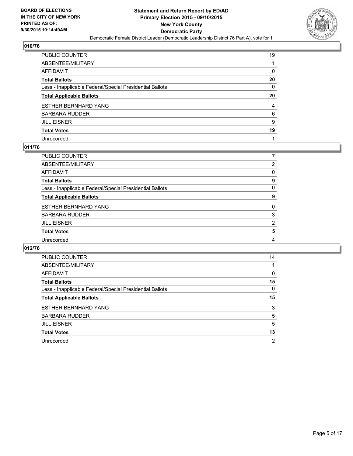

| PUBLIC COUNTER                                           | 19 |
|----------------------------------------------------------|----|
| ABSENTEE/MILITARY                                        |    |
| AFFIDAVIT                                                | 0  |
| Total Ballots                                            | 20 |
| Less - Inapplicable Federal/Special Presidential Ballots | 0  |
| <b>Total Applicable Ballots</b>                          | 20 |
| ESTHER BERNHARD YANG                                     | 4  |
| BARBARA RUDDER                                           | 6  |
| JILL EISNER                                              | 9  |
| <b>Total Votes</b>                                       | 19 |
| Unrecorded                                               |    |

## **011/76**

| PUBLIC COUNTER                                           |                |
|----------------------------------------------------------|----------------|
| ABSENTEE/MILITARY                                        | 2              |
| <b>AFFIDAVIT</b>                                         | 0              |
| <b>Total Ballots</b>                                     | 9              |
| Less - Inapplicable Federal/Special Presidential Ballots | 0              |
| <b>Total Applicable Ballots</b>                          | 9              |
| <b>ESTHER BERNHARD YANG</b>                              | $\Omega$       |
| <b>BARBARA RUDDER</b>                                    | 3              |
| <b>JILL EISNER</b>                                       | $\overline{2}$ |
| <b>Total Votes</b>                                       | 5              |
| Unrecorded                                               | 4              |
|                                                          |                |

| <b>PUBLIC COUNTER</b>                                    | 14             |
|----------------------------------------------------------|----------------|
| ABSENTEE/MILITARY                                        |                |
| <b>AFFIDAVIT</b>                                         | 0              |
| <b>Total Ballots</b>                                     | 15             |
| Less - Inapplicable Federal/Special Presidential Ballots | 0              |
| <b>Total Applicable Ballots</b>                          | 15             |
| <b>ESTHER BERNHARD YANG</b>                              | 3              |
| <b>BARBARA RUDDER</b>                                    | 5              |
| <b>JILL EISNER</b>                                       | 5              |
| <b>Total Votes</b>                                       | 13             |
| Unrecorded                                               | $\overline{2}$ |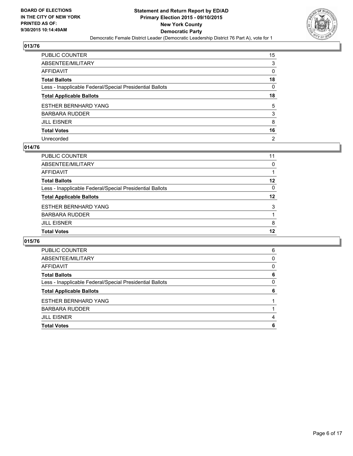

| PUBLIC COUNTER                                           | 15             |
|----------------------------------------------------------|----------------|
| ABSENTEE/MILITARY                                        | 3              |
| AFFIDAVIT                                                | 0              |
| Total Ballots                                            | 18             |
| Less - Inapplicable Federal/Special Presidential Ballots | 0              |
| <b>Total Applicable Ballots</b>                          | 18             |
| ESTHER BERNHARD YANG                                     | 5              |
| BARBARA RUDDER                                           | 3              |
| JILL EISNER                                              | 8              |
| <b>Total Votes</b>                                       | 16             |
| Unrecorded                                               | $\overline{2}$ |

## **014/76**

| PUBLIC COUNTER                                           | 11       |
|----------------------------------------------------------|----------|
| ABSENTEE/MILITARY                                        | 0        |
| <b>AFFIDAVIT</b>                                         |          |
| <b>Total Ballots</b>                                     | 12       |
| Less - Inapplicable Federal/Special Presidential Ballots | $\Omega$ |
| <b>Total Applicable Ballots</b>                          | 12       |
| <b>ESTHER BERNHARD YANG</b>                              | 3        |
| <b>BARBARA RUDDER</b>                                    |          |
| <b>JILL EISNER</b>                                       | 8        |
| <b>Total Votes</b>                                       | 12       |
|                                                          |          |

| <b>PUBLIC COUNTER</b>                                    | 6 |
|----------------------------------------------------------|---|
| ABSENTEE/MILITARY                                        | 0 |
| AFFIDAVIT                                                | 0 |
| <b>Total Ballots</b>                                     | 6 |
| Less - Inapplicable Federal/Special Presidential Ballots | 0 |
| <b>Total Applicable Ballots</b>                          | 6 |
| <b>ESTHER BERNHARD YANG</b>                              |   |
| BARBARA RUDDER                                           |   |
| <b>JILL EISNER</b>                                       | 4 |
| <b>Total Votes</b>                                       | 6 |
|                                                          |   |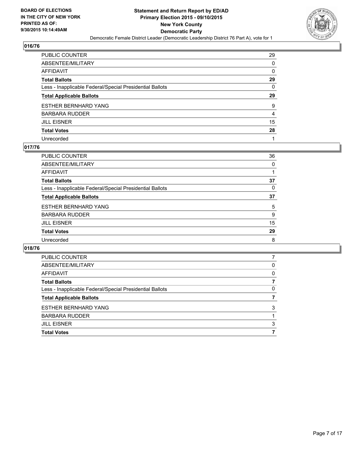

| PUBLIC COUNTER                                           | 29           |
|----------------------------------------------------------|--------------|
| ABSENTEE/MILITARY                                        | 0            |
| AFFIDAVIT                                                | 0            |
| Total Ballots                                            | 29           |
| Less - Inapplicable Federal/Special Presidential Ballots | $\mathbf{0}$ |
| <b>Total Applicable Ballots</b>                          | 29           |
| ESTHER BERNHARD YANG                                     | 9            |
| BARBARA RUDDER                                           | 4            |
| JILL EISNER                                              | 15           |
| <b>Total Votes</b>                                       | 28           |
| Unrecorded                                               |              |

## **017/76**

| PUBLIC COUNTER                                           | 36       |
|----------------------------------------------------------|----------|
| ABSENTEE/MILITARY                                        | $\Omega$ |
| <b>AFFIDAVIT</b>                                         |          |
| <b>Total Ballots</b>                                     | 37       |
| Less - Inapplicable Federal/Special Presidential Ballots | 0        |
| <b>Total Applicable Ballots</b>                          | 37       |
| <b>ESTHER BERNHARD YANG</b>                              | 5        |
| <b>BARBARA RUDDER</b>                                    | 9        |
| <b>JILL EISNER</b>                                       | 15       |
| <b>Total Votes</b>                                       | 29       |
| Unrecorded                                               | 8        |
|                                                          |          |

| <b>PUBLIC COUNTER</b>                                    |   |
|----------------------------------------------------------|---|
| ABSENTEE/MILITARY                                        | 0 |
| AFFIDAVIT                                                | 0 |
| <b>Total Ballots</b>                                     |   |
| Less - Inapplicable Federal/Special Presidential Ballots | 0 |
| <b>Total Applicable Ballots</b>                          |   |
| <b>ESTHER BERNHARD YANG</b>                              | 3 |
| <b>BARBARA RUDDER</b>                                    |   |
| <b>JILL EISNER</b>                                       | 3 |
| <b>Total Votes</b>                                       |   |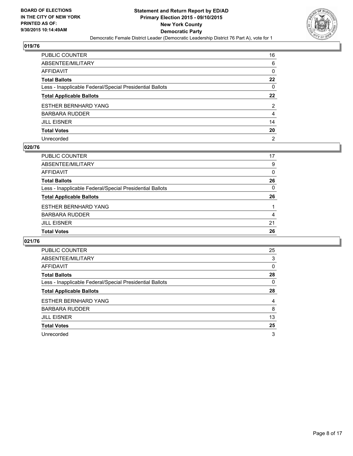

| PUBLIC COUNTER                                           | 16             |
|----------------------------------------------------------|----------------|
| ABSENTEE/MILITARY                                        | 6              |
| AFFIDAVIT                                                | 0              |
| Total Ballots                                            | $22 \,$        |
| Less - Inapplicable Federal/Special Presidential Ballots | 0              |
| <b>Total Applicable Ballots</b>                          | $22\,$         |
| ESTHER BERNHARD YANG                                     | 2              |
| BARBARA RUDDER                                           | 4              |
| JILL EISNER                                              | 14             |
| Total Votes                                              | 20             |
| Unrecorded                                               | $\overline{2}$ |

## **020/76**

| PUBLIC COUNTER                                           | 17       |
|----------------------------------------------------------|----------|
| ABSENTEE/MILITARY                                        | 9        |
| <b>AFFIDAVIT</b>                                         | $\Omega$ |
| <b>Total Ballots</b>                                     | 26       |
| Less - Inapplicable Federal/Special Presidential Ballots | $\Omega$ |
| <b>Total Applicable Ballots</b>                          | 26       |
| <b>ESTHER BERNHARD YANG</b>                              |          |
| <b>BARBARA RUDDER</b>                                    | 4        |
| <b>JILL EISNER</b>                                       | 21       |
| <b>Total Votes</b>                                       | 26       |
|                                                          |          |

| PUBLIC COUNTER                                           | 25 |
|----------------------------------------------------------|----|
| ABSENTEE/MILITARY                                        | 3  |
| <b>AFFIDAVIT</b>                                         | 0  |
| <b>Total Ballots</b>                                     | 28 |
| Less - Inapplicable Federal/Special Presidential Ballots | 0  |
| <b>Total Applicable Ballots</b>                          | 28 |
| <b>ESTHER BERNHARD YANG</b>                              | 4  |
| <b>BARBARA RUDDER</b>                                    | 8  |
| <b>JILL EISNER</b>                                       | 13 |
| <b>Total Votes</b>                                       | 25 |
| Unrecorded                                               | 3  |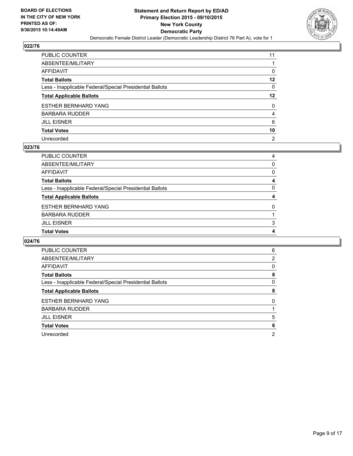

| PUBLIC COUNTER                                           | 11             |
|----------------------------------------------------------|----------------|
| ABSENTEE/MILITARY                                        |                |
| AFFIDAVIT                                                | 0              |
| Total Ballots                                            | 12             |
| Less - Inapplicable Federal/Special Presidential Ballots | 0              |
| <b>Total Applicable Ballots</b>                          | 12             |
| ESTHER BERNHARD YANG                                     | 0              |
| BARBARA RUDDER                                           | 4              |
| JILL EISNER                                              | 6              |
| Total Votes                                              | 10             |
| Unrecorded                                               | $\overline{2}$ |

## **023/76**

| PUBLIC COUNTER                                           | 4 |
|----------------------------------------------------------|---|
| ABSENTEE/MILITARY                                        | 0 |
| AFFIDAVIT                                                | 0 |
| <b>Total Ballots</b>                                     | 4 |
| Less - Inapplicable Federal/Special Presidential Ballots | 0 |
| <b>Total Applicable Ballots</b>                          | 4 |
| ESTHER BERNHARD YANG                                     | 0 |
| <b>BARBARA RUDDER</b>                                    |   |
| <b>JILL EISNER</b>                                       | 3 |
| <b>Total Votes</b>                                       | 4 |
|                                                          |   |

| <b>PUBLIC COUNTER</b>                                    | 6        |
|----------------------------------------------------------|----------|
| ABSENTEE/MILITARY                                        | 2        |
| <b>AFFIDAVIT</b>                                         | 0        |
| <b>Total Ballots</b>                                     | 8        |
| Less - Inapplicable Federal/Special Presidential Ballots | 0        |
| <b>Total Applicable Ballots</b>                          | 8        |
| <b>ESTHER BERNHARD YANG</b>                              | $\Omega$ |
| <b>BARBARA RUDDER</b>                                    |          |
| <b>JILL EISNER</b>                                       | 5        |
| <b>Total Votes</b>                                       | 6        |
| Unrecorded                                               | 2        |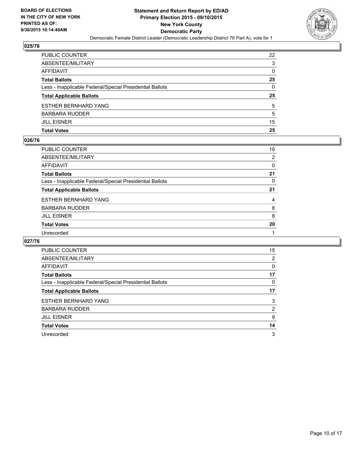

| PUBLIC COUNTER                                           | 22           |
|----------------------------------------------------------|--------------|
| ABSENTEE/MILITARY                                        | 3            |
| AFFIDAVIT                                                | 0            |
| <b>Total Ballots</b>                                     | 25           |
| Less - Inapplicable Federal/Special Presidential Ballots | $\mathbf{0}$ |
| <b>Total Applicable Ballots</b>                          | 25           |
| ESTHER BERNHARD YANG                                     | 5            |
| BARBARA RUDDER                                           | 5            |
|                                                          |              |
| JILL EISNER                                              | 15           |
| Total Votes                                              | 25           |

#### **026/76**

| PUBLIC COUNTER                                           | 19             |
|----------------------------------------------------------|----------------|
| ABSENTEE/MILITARY                                        | $\overline{2}$ |
| AFFIDAVIT                                                | 0              |
| <b>Total Ballots</b>                                     | 21             |
| Less - Inapplicable Federal/Special Presidential Ballots | 0              |
| <b>Total Applicable Ballots</b>                          | 21             |
| ESTHER BERNHARD YANG                                     | 4              |
| BARBARA RUDDER                                           | 8              |
| JILL EISNER                                              | 8              |
| <b>Total Votes</b>                                       | 20             |
| Unrecorded                                               |                |
|                                                          |                |

| <b>PUBLIC COUNTER</b>                                    | 15 |
|----------------------------------------------------------|----|
| ABSENTEE/MILITARY                                        | 2  |
| AFFIDAVIT                                                | 0  |
| <b>Total Ballots</b>                                     | 17 |
| Less - Inapplicable Federal/Special Presidential Ballots | 0  |
| <b>Total Applicable Ballots</b>                          | 17 |
| <b>ESTHER BERNHARD YANG</b>                              | 3  |
| BARBARA RUDDER                                           | 2  |
| <b>JILL EISNER</b>                                       | 9  |
| <b>Total Votes</b>                                       | 14 |
| Unrecorded                                               | 3  |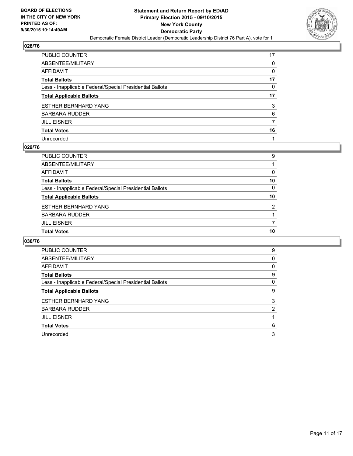

| PUBLIC COUNTER                                           | 17 |
|----------------------------------------------------------|----|
| ABSENTEE/MILITARY                                        | 0  |
| AFFIDAVIT                                                | 0  |
| Total Ballots                                            | 17 |
| Less - Inapplicable Federal/Special Presidential Ballots | 0  |
| <b>Total Applicable Ballots</b>                          | 17 |
| ESTHER BERNHARD YANG                                     | 3  |
| BARBARA RUDDER                                           | 6  |
| JILL EISNER                                              | 7  |
| <b>Total Votes</b>                                       | 16 |
| Unrecorded                                               |    |

## **029/76**

| PUBLIC COUNTER                                           | 9        |
|----------------------------------------------------------|----------|
| ABSENTEE/MILITARY                                        |          |
| AFFIDAVIT                                                | 0        |
| <b>Total Ballots</b>                                     | 10       |
| Less - Inapplicable Federal/Special Presidential Ballots | $\Omega$ |
| <b>Total Applicable Ballots</b>                          | 10       |
| <b>ESTHER BERNHARD YANG</b>                              | 2        |
| <b>BARBARA RUDDER</b>                                    |          |
| <b>JILL EISNER</b>                                       | 7        |
| <b>Total Votes</b>                                       | 10       |
|                                                          |          |

| PUBLIC COUNTER                                           | 9 |
|----------------------------------------------------------|---|
| ABSENTEE/MILITARY                                        | 0 |
| <b>AFFIDAVIT</b>                                         | 0 |
| <b>Total Ballots</b>                                     | 9 |
| Less - Inapplicable Federal/Special Presidential Ballots | 0 |
| <b>Total Applicable Ballots</b>                          | 9 |
| <b>ESTHER BERNHARD YANG</b>                              | 3 |
| <b>BARBARA RUDDER</b>                                    | 2 |
| <b>JILL EISNER</b>                                       |   |
| <b>Total Votes</b>                                       | 6 |
| Unrecorded                                               | 3 |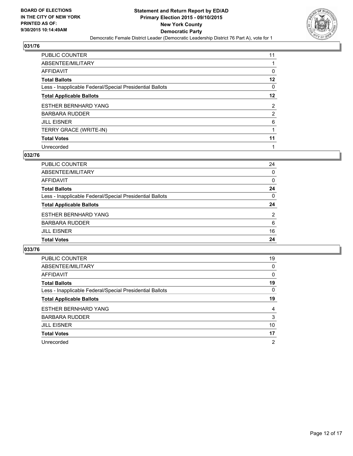

| PUBLIC COUNTER                                           | 11             |
|----------------------------------------------------------|----------------|
| ABSENTEE/MILITARY                                        |                |
| AFFIDAVIT                                                | 0              |
| Total Ballots                                            | $12 \,$        |
| Less - Inapplicable Federal/Special Presidential Ballots | 0              |
| <b>Total Applicable Ballots</b>                          | $12 \,$        |
| ESTHER BERNHARD YANG                                     | $\overline{2}$ |
| BARBARA RUDDER                                           | $\overline{2}$ |
| JILL EISNER                                              | 6              |
| TERRY GRACE (WRITE-IN)                                   | 1              |
| <b>Total Votes</b>                                       | 11             |
| Unrecorded                                               |                |

#### **032/76**

| PUBLIC COUNTER                                           | 24 |
|----------------------------------------------------------|----|
| ABSENTEE/MILITARY                                        | 0  |
| <b>AFFIDAVIT</b>                                         | 0  |
| <b>Total Ballots</b>                                     | 24 |
| Less - Inapplicable Federal/Special Presidential Ballots | 0  |
| <b>Total Applicable Ballots</b>                          | 24 |
| <b>ESTHER BERNHARD YANG</b>                              | 2  |
| <b>BARBARA RUDDER</b>                                    | 6  |
| <b>JILL EISNER</b>                                       | 16 |
| <b>Total Votes</b>                                       | 24 |
|                                                          |    |

| <b>PUBLIC COUNTER</b>                                    | 19 |
|----------------------------------------------------------|----|
| ABSENTEE/MILITARY                                        | 0  |
| AFFIDAVIT                                                | 0  |
| <b>Total Ballots</b>                                     | 19 |
| Less - Inapplicable Federal/Special Presidential Ballots | 0  |
| <b>Total Applicable Ballots</b>                          | 19 |
| <b>ESTHER BERNHARD YANG</b>                              | 4  |
| <b>BARBARA RUDDER</b>                                    | 3  |
| <b>JILL EISNER</b>                                       | 10 |
| <b>Total Votes</b>                                       | 17 |
| Unrecorded                                               | 2  |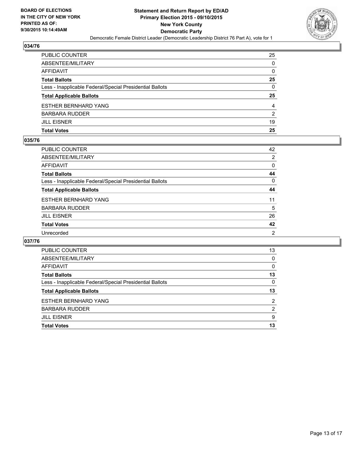

| PUBLIC COUNTER                                           | 25           |
|----------------------------------------------------------|--------------|
| ABSENTEE/MILITARY                                        | $\mathbf{0}$ |
| AFFIDAVIT                                                | $\Omega$     |
| Total Ballots                                            | 25           |
| Less - Inapplicable Federal/Special Presidential Ballots | $\mathbf{0}$ |
| <b>Total Applicable Ballots</b>                          | 25           |
| ESTHER BERNHARD YANG                                     | 4            |
| BARBARA RUDDER                                           | 2            |
| JILL EISNER                                              | 19           |
| Total Votes                                              | 25           |
|                                                          |              |

## **035/76**

| PUBLIC COUNTER                                           | 42             |
|----------------------------------------------------------|----------------|
| ABSENTEE/MILITARY                                        | 2              |
| AFFIDAVIT                                                | 0              |
| Total Ballots                                            | 44             |
| Less - Inapplicable Federal/Special Presidential Ballots | 0              |
| <b>Total Applicable Ballots</b>                          | 44             |
| ESTHER BERNHARD YANG                                     | 11             |
| BARBARA RUDDER                                           | 5              |
| JILL EISNER                                              | 26             |
| Total Votes                                              | 42             |
| Unrecorded                                               | $\overline{2}$ |
|                                                          |                |

| <b>PUBLIC COUNTER</b>                                    | 13 |
|----------------------------------------------------------|----|
| ABSENTEE/MILITARY                                        | 0  |
| AFFIDAVIT                                                | 0  |
| <b>Total Ballots</b>                                     | 13 |
| Less - Inapplicable Federal/Special Presidential Ballots | 0  |
| <b>Total Applicable Ballots</b>                          | 13 |
| <b>ESTHER BERNHARD YANG</b>                              | 2  |
| <b>BARBARA RUDDER</b>                                    | 2  |
| <b>JILL EISNER</b>                                       | 9  |
| <b>Total Votes</b>                                       | 13 |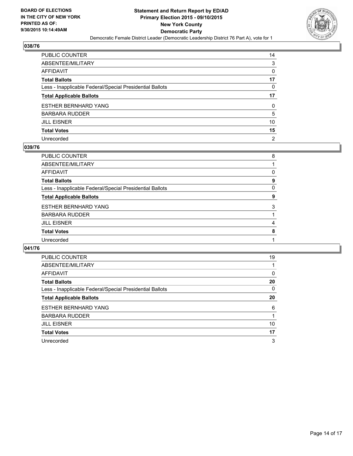

| PUBLIC COUNTER                                           | 14 |
|----------------------------------------------------------|----|
| ABSENTEE/MILITARY                                        | 3  |
| AFFIDAVIT                                                | 0  |
| Total Ballots                                            | 17 |
| Less - Inapplicable Federal/Special Presidential Ballots | 0  |
| <b>Total Applicable Ballots</b>                          | 17 |
| ESTHER BERNHARD YANG                                     | 0  |
| BARBARA RUDDER                                           | 5  |
| JILL EISNER                                              | 10 |
| <b>Total Votes</b>                                       | 15 |
| Unrecorded                                               | 2  |

## **039/76**

| PUBLIC COUNTER                                           | 8 |
|----------------------------------------------------------|---|
| <b>ABSENTEE/MILITARY</b>                                 |   |
| <b>AFFIDAVIT</b>                                         | 0 |
| <b>Total Ballots</b>                                     | 9 |
| Less - Inapplicable Federal/Special Presidential Ballots | 0 |
| <b>Total Applicable Ballots</b>                          | 9 |
| <b>ESTHER BERNHARD YANG</b>                              | 3 |
| <b>BARBARA RUDDER</b>                                    |   |
| <b>JILL EISNER</b>                                       | 4 |
| <b>Total Votes</b>                                       | 8 |
| Unrecorded                                               |   |
|                                                          |   |

| <b>PUBLIC COUNTER</b>                                    | 19 |
|----------------------------------------------------------|----|
| ABSENTEE/MILITARY                                        |    |
| <b>AFFIDAVIT</b>                                         | 0  |
| <b>Total Ballots</b>                                     | 20 |
| Less - Inapplicable Federal/Special Presidential Ballots | 0  |
| <b>Total Applicable Ballots</b>                          | 20 |
| <b>ESTHER BERNHARD YANG</b>                              | 6  |
| <b>BARBARA RUDDER</b>                                    |    |
| <b>JILL EISNER</b>                                       | 10 |
| <b>Total Votes</b>                                       | 17 |
| Unrecorded                                               | 3  |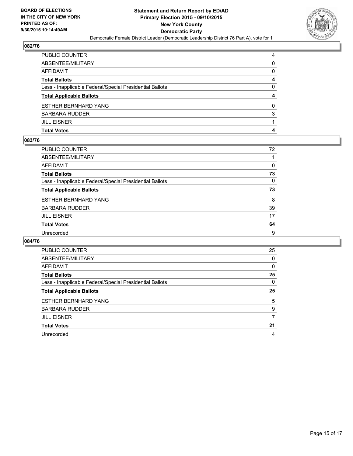

| PUBLIC COUNTER                                           | 4            |
|----------------------------------------------------------|--------------|
| ABSENTEE/MILITARY                                        | 0            |
| AFFIDAVIT                                                | $\mathbf{0}$ |
| Total Ballots                                            | 4            |
| Less - Inapplicable Federal/Special Presidential Ballots | $\mathbf{0}$ |
| <b>Total Applicable Ballots</b>                          | 4            |
| ESTHER BERNHARD YANG                                     | 0            |
| BARBARA RUDDER                                           | 3            |
| <b>JILL EISNER</b>                                       |              |
| Total Votes                                              | 4            |
|                                                          |              |

## **083/76**

| PUBLIC COUNTER                                           | 72 |
|----------------------------------------------------------|----|
| ABSENTEE/MILITARY                                        |    |
| AFFIDAVIT                                                | 0  |
| Total Ballots                                            | 73 |
| Less - Inapplicable Federal/Special Presidential Ballots | 0  |
| <b>Total Applicable Ballots</b>                          | 73 |
| ESTHER BERNHARD YANG                                     | 8  |
| BARBARA RUDDER                                           | 39 |
| JILL EISNER                                              | 17 |
| <b>Total Votes</b>                                       | 64 |
| Unrecorded                                               | 9  |
|                                                          |    |

| <b>PUBLIC COUNTER</b>                                    | 25 |
|----------------------------------------------------------|----|
| ABSENTEE/MILITARY                                        | 0  |
| AFFIDAVIT                                                | 0  |
| <b>Total Ballots</b>                                     | 25 |
| Less - Inapplicable Federal/Special Presidential Ballots | 0  |
| <b>Total Applicable Ballots</b>                          | 25 |
| <b>ESTHER BERNHARD YANG</b>                              | 5  |
| <b>BARBARA RUDDER</b>                                    | 9  |
| <b>JILL EISNER</b>                                       | 7  |
| <b>Total Votes</b>                                       | 21 |
| Unrecorded                                               | 4  |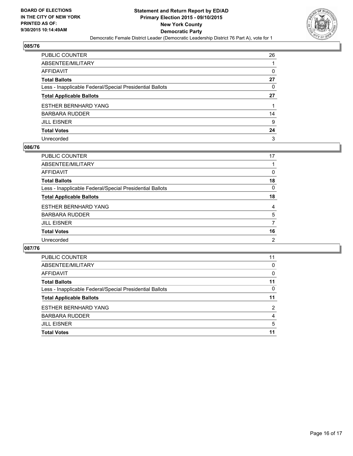

| PUBLIC COUNTER                                           | 26 |
|----------------------------------------------------------|----|
| ABSENTEE/MILITARY                                        |    |
| AFFIDAVIT                                                | 0  |
| Total Ballots                                            | 27 |
| Less - Inapplicable Federal/Special Presidential Ballots | 0  |
| <b>Total Applicable Ballots</b>                          | 27 |
| ESTHER BERNHARD YANG                                     |    |
| BARBARA RUDDER                                           | 14 |
| JILL EISNER                                              | 9  |
| <b>Total Votes</b>                                       | 24 |
| Unrecorded                                               | 3  |

## **086/76**

| PUBLIC COUNTER                                           | 17             |
|----------------------------------------------------------|----------------|
| ABSENTEE/MILITARY                                        |                |
| <b>AFFIDAVIT</b>                                         | 0              |
| <b>Total Ballots</b>                                     | 18             |
| Less - Inapplicable Federal/Special Presidential Ballots | $\Omega$       |
| <b>Total Applicable Ballots</b>                          | 18             |
| <b>ESTHER BERNHARD YANG</b>                              | 4              |
| <b>BARBARA RUDDER</b>                                    | 5              |
| <b>JILL EISNER</b>                                       | 7              |
| <b>Total Votes</b>                                       | 16             |
| Unrecorded                                               | $\overline{2}$ |

| <b>PUBLIC COUNTER</b>                                    | 11             |
|----------------------------------------------------------|----------------|
| ABSENTEE/MILITARY                                        | 0              |
| AFFIDAVIT                                                | 0              |
| <b>Total Ballots</b>                                     | 11             |
| Less - Inapplicable Federal/Special Presidential Ballots | 0              |
| <b>Total Applicable Ballots</b>                          | 11             |
| <b>ESTHER BERNHARD YANG</b>                              | $\overline{2}$ |
| <b>BARBARA RUDDER</b>                                    | 4              |
| <b>JILL EISNER</b>                                       | 5              |
| <b>Total Votes</b>                                       | 11             |